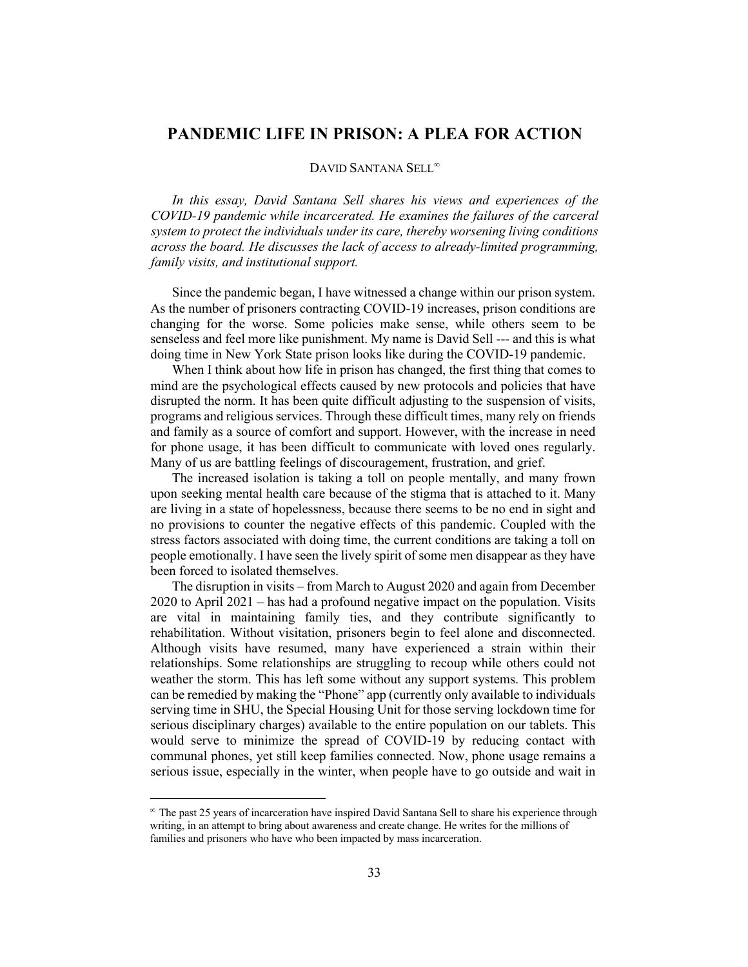## **PANDEMIC LIFE IN PRISON: A PLEA FOR ACTION**

## DAVID SANTANA SELL<sup>®</sup>

*In this essay, David Santana Sell shares his views and experiences of the COVID-19 pandemic while incarcerated. He examines the failures of the carceral system to protect the individuals under its care, thereby worsening living conditions across the board. He discusses the lack of access to already-limited programming, family visits, and institutional support.* 

Since the pandemic began, I have witnessed a change within our prison system. As the number of prisoners contracting COVID-19 increases, prison conditions are changing for the worse. Some policies make sense, while others seem to be senseless and feel more like punishment. My name is David Sell --- and this is what doing time in New York State prison looks like during the COVID-19 pandemic.

When I think about how life in prison has changed, the first thing that comes to mind are the psychological effects caused by new protocols and policies that have disrupted the norm. It has been quite difficult adjusting to the suspension of visits, programs and religious services. Through these difficult times, many rely on friends and family as a source of comfort and support. However, with the increase in need for phone usage, it has been difficult to communicate with loved ones regularly. Many of us are battling feelings of discouragement, frustration, and grief.

The increased isolation is taking a toll on people mentally, and many frown upon seeking mental health care because of the stigma that is attached to it. Many are living in a state of hopelessness, because there seems to be no end in sight and no provisions to counter the negative effects of this pandemic. Coupled with the stress factors associated with doing time, the current conditions are taking a toll on people emotionally. I have seen the lively spirit of some men disappear as they have been forced to isolated themselves.

The disruption in visits – from March to August 2020 and again from December 2020 to April 2021 – has had a profound negative impact on the population. Visits are vital in maintaining family ties, and they contribute significantly to rehabilitation. Without visitation, prisoners begin to feel alone and disconnected. Although visits have resumed, many have experienced a strain within their relationships. Some relationships are struggling to recoup while others could not weather the storm. This has left some without any support systems. This problem can be remedied by making the "Phone" app (currently only available to individuals serving time in SHU, the Special Housing Unit for those serving lockdown time for serious disciplinary charges) available to the entire population on our tablets. This would serve to minimize the spread of COVID-19 by reducing contact with communal phones, yet still keep families connected. Now, phone usage remains a serious issue, especially in the winter, when people have to go outside and wait in

 $^{\circ}$  The past 25 years of incarceration have inspired David Santana Sell to share his experience through writing, in an attempt to bring about awareness and create change. He writes for the millions of families and prisoners who have who been impacted by mass incarceration.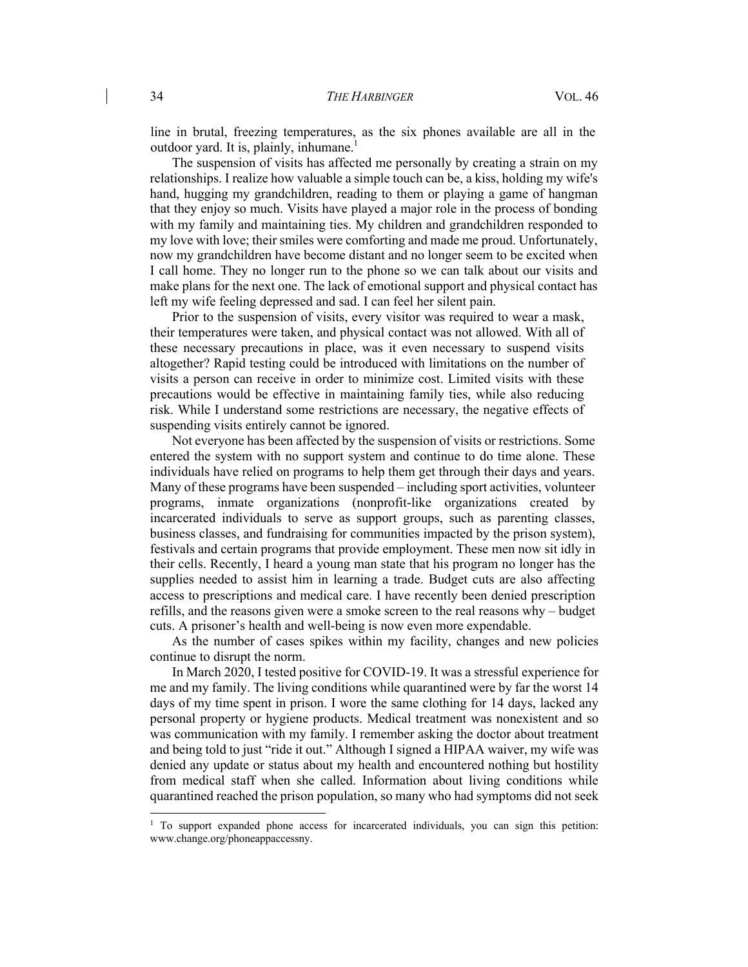line in brutal, freezing temperatures, as the six phones available are all in the outdoor yard. It is, plainly, inhumane.1

The suspension of visits has affected me personally by creating a strain on my relationships. I realize how valuable a simple touch can be, a kiss, holding my wife's hand, hugging my grandchildren, reading to them or playing a game of hangman that they enjoy so much. Visits have played a major role in the process of bonding with my family and maintaining ties. My children and grandchildren responded to my love with love; their smiles were comforting and made me proud. Unfortunately, now my grandchildren have become distant and no longer seem to be excited when I call home. They no longer run to the phone so we can talk about our visits and make plans for the next one. The lack of emotional support and physical contact has left my wife feeling depressed and sad. I can feel her silent pain.

Prior to the suspension of visits, every visitor was required to wear a mask, their temperatures were taken, and physical contact was not allowed. With all of these necessary precautions in place, was it even necessary to suspend visits altogether? Rapid testing could be introduced with limitations on the number of visits a person can receive in order to minimize cost. Limited visits with these precautions would be effective in maintaining family ties, while also reducing risk. While I understand some restrictions are necessary, the negative effects of suspending visits entirely cannot be ignored.

Not everyone has been affected by the suspension of visits or restrictions. Some entered the system with no support system and continue to do time alone. These individuals have relied on programs to help them get through their days and years. Many of these programs have been suspended – including sport activities, volunteer programs, inmate organizations (nonprofit-like organizations created by incarcerated individuals to serve as support groups, such as parenting classes, business classes, and fundraising for communities impacted by the prison system), festivals and certain programs that provide employment. These men now sit idly in their cells. Recently, I heard a young man state that his program no longer has the supplies needed to assist him in learning a trade. Budget cuts are also affecting access to prescriptions and medical care. I have recently been denied prescription refills, and the reasons given were a smoke screen to the real reasons why – budget cuts. A prisoner's health and well-being is now even more expendable.

As the number of cases spikes within my facility, changes and new policies continue to disrupt the norm.

In March 2020, I tested positive for COVID-19. It was a stressful experience for me and my family. The living conditions while quarantined were by far the worst 14 days of my time spent in prison. I wore the same clothing for 14 days, lacked any personal property or hygiene products. Medical treatment was nonexistent and so was communication with my family. I remember asking the doctor about treatment and being told to just "ride it out." Although I signed a HIPAA waiver, my wife was denied any update or status about my health and encountered nothing but hostility from medical staff when she called. Information about living conditions while quarantined reached the prison population, so many who had symptoms did not seek

<sup>&</sup>lt;sup>1</sup> To support expanded phone access for incarcerated individuals, you can sign this petition: www.change.org/phoneappaccessny.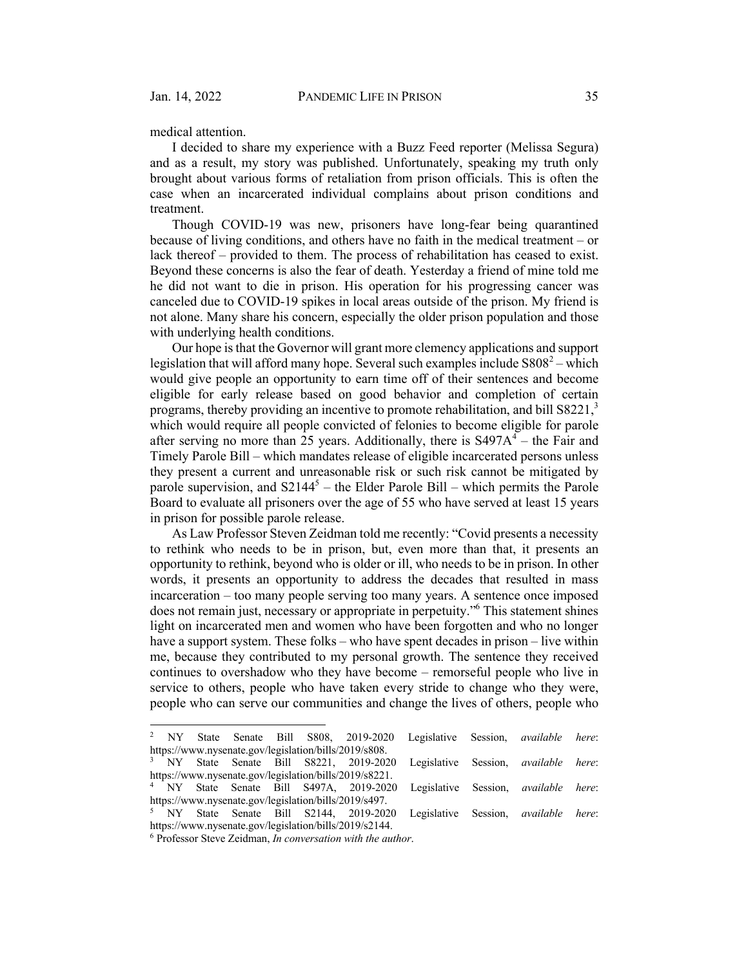medical attention.

I decided to share my experience with a Buzz Feed reporter (Melissa Segura) and as a result, my story was published. Unfortunately, speaking my truth only brought about various forms of retaliation from prison officials. This is often the case when an incarcerated individual complains about prison conditions and treatment.

Though COVID-19 was new, prisoners have long-fear being quarantined because of living conditions, and others have no faith in the medical treatment – or lack thereof – provided to them. The process of rehabilitation has ceased to exist. Beyond these concerns is also the fear of death. Yesterday a friend of mine told me he did not want to die in prison. His operation for his progressing cancer was canceled due to COVID-19 spikes in local areas outside of the prison. My friend is not alone. Many share his concern, especially the older prison population and those with underlying health conditions.

Our hope is that the Governor will grant more clemency applications and support legislation that will afford many hope. Several such examples include  $S808^2$  – which would give people an opportunity to earn time off of their sentences and become eligible for early release based on good behavior and completion of certain programs, thereby providing an incentive to promote rehabilitation, and bill S8221,<sup>3</sup> which would require all people convicted of felonies to become eligible for parole after serving no more than 25 years. Additionally, there is  $S497A<sup>4</sup> -$  the Fair and Timely Parole Bill – which mandates release of eligible incarcerated persons unless they present a current and unreasonable risk or such risk cannot be mitigated by parole supervision, and  $S2144^5$  – the Elder Parole Bill – which permits the Parole Board to evaluate all prisoners over the age of 55 who have served at least 15 years in prison for possible parole release.

As Law Professor Steven Zeidman told me recently: "Covid presents a necessity to rethink who needs to be in prison, but, even more than that, it presents an opportunity to rethink, beyond who is older or ill, who needs to be in prison. In other words, it presents an opportunity to address the decades that resulted in mass incarceration – too many people serving too many years. A sentence once imposed does not remain just, necessary or appropriate in perpetuity."6 This statement shines light on incarcerated men and women who have been forgotten and who no longer have a support system. These folks – who have spent decades in prison – live within me, because they contributed to my personal growth. The sentence they received continues to overshadow who they have become – remorseful people who live in service to others, people who have taken every stride to change who they were, people who can serve our communities and change the lives of others, people who

<sup>2</sup> NY State Senate Bill S808, 2019-2020 Legislative Session, *available here*: https://www.nysenate.gov/legislation/bills/2019/s808. <sup>3</sup> NY State Senate Bill S8221, 2019-2020 Legislative Session, *available here*:

https://www.nysenate.gov/legislation/bills/2019/s8221. <sup>4</sup> NY State Senate Bill S497A, 2019-2020 Legislative Session, *available here*: https://www.nysenate.gov/legislation/bills/2019/s497. 5 NY State Senate Bill S2144, 2019-2020 Legislative Session, *available here*: https://www.nysenate.gov/legislation/bills/2019/s2144.

<sup>6</sup> Professor Steve Zeidman, *In conversation with the author*.